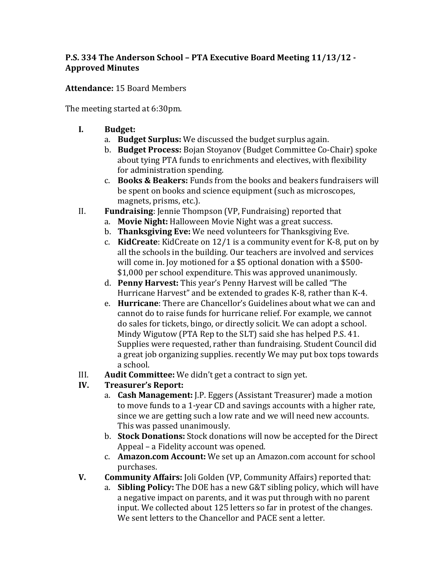## **P.S. 334 The Anderson School - PTA Executive Board Meeting 11/13/12 -Approved Minutes**

Attendance: 15 Board Members

The meeting started at 6:30pm.

- **I. Budget:** 
	- a. **Budget Surplus:** We discussed the budget surplus again.
	- b. **Budget Process:** Bojan Stoyanov (Budget Committee Co-Chair) spoke about tying PTA funds to enrichments and electives, with flexibility for administration spending.
	- c. **Books & Beakers:** Funds from the books and beakers fundraisers will be spent on books and science equipment (such as microscopes, magnets, prisms, etc.).
- II. **Fundraising:** Jennie Thompson (VP, Fundraising) reported that
	- a. **Movie Night:** Halloween Movie Night was a great success.
	- b. **Thanksgiving Eve:** We need volunteers for Thanksgiving Eve.
	- c. **KidCreate**: KidCreate on  $12/1$  is a community event for K-8, put on by all the schools in the building. Our teachers are involved and services will come in. Joy motioned for a \$5 optional donation with a \$500-\$1,000 per school expenditure. This was approved unanimously.
	- d. **Penny Harvest:** This year's Penny Harvest will be called "The Hurricane Harvest" and be extended to grades K-8, rather than K-4.
	- e. **Hurricane**: There are Chancellor's Guidelines about what we can and cannot do to raise funds for hurricane relief. For example, we cannot do sales for tickets, bingo, or directly solicit. We can adopt a school. Mindy Wigutow (PTA Rep to the SLT) said she has helped P.S. 41. Supplies were requested, rather than fundraising. Student Council did a great job organizing supplies. recently We may put box tops towards a school.
- III. Audit Committee: We didn't get a contract to sign yet.
- **IV. Treasurer's Report:**
	- a. **Cash Management:** J.P. Eggers (Assistant Treasurer) made a motion to move funds to a 1-year CD and savings accounts with a higher rate, since we are getting such a low rate and we will need new accounts. This was passed unanimously.
	- b. **Stock Donations:** Stock donations will now be accepted for the Direct Appeal – a Fidelity account was opened.
	- c. **Amazon.com Account:** We set up an Amazon.com account for school purchases.
- **V. Community Affairs:** Joli Golden (VP, Community Affairs) reported that:
	- a. **Sibling Policy:** The DOE has a new G&T sibling policy, which will have a negative impact on parents, and it was put through with no parent input. We collected about 125 letters so far in protest of the changes. We sent letters to the Chancellor and PACE sent a letter.